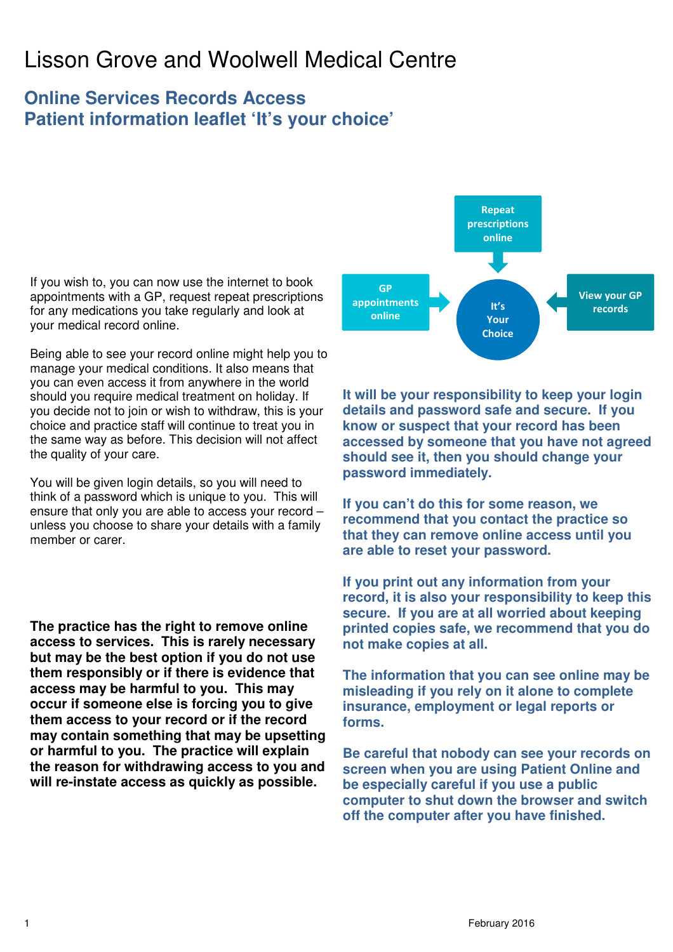# Lisson Grove and Woolwell Medical Centre

### **Online Services Records Access Patient information leaflet 'It's your choice'**

If you wish to, you can now use the internet to book appointments with a GP, request repeat prescriptions for any medications you take regularly and look at your medical record online.

Being able to see your record online might help you to manage your medical conditions. It also means that you can even access it from anywhere in the world should you require medical treatment on holiday. If you decide not to join or wish to withdraw, this is your choice and practice staff will continue to treat you in the same way as before. This decision will not affect the quality of your care.

You will be given login details, so you will need to think of a password which is unique to you. This will ensure that only you are able to access your record – unless you choose to share your details with a family member or carer.

**The practice has the right to remove online access to services. This is rarely necessary but may be the best option if you do not use them responsibly or if there is evidence that access may be harmful to you. This may occur if someone else is forcing you to give them access to your record or if the record may contain something that may be upsetting or harmful to you. The practice will explain the reason for withdrawing access to you and will re-instate access as quickly as possible.** 



**It will be your responsibility to keep your login details and password safe and secure. If you know or suspect that your record has been accessed by someone that you have not agreed should see it, then you should change your password immediately.** 

**If you can't do this for some reason, we recommend that you contact the practice so that they can remove online access until you are able to reset your password.** 

**If you print out any information from your record, it is also your responsibility to keep this secure. If you are at all worried about keeping printed copies safe, we recommend that you do not make copies at all.** 

**The information that you can see online may be misleading if you rely on it alone to complete insurance, employment or legal reports or forms.** 

**Be careful that nobody can see your records on screen when you are using Patient Online and be especially careful if you use a public computer to shut down the browser and switch off the computer after you have finished.**